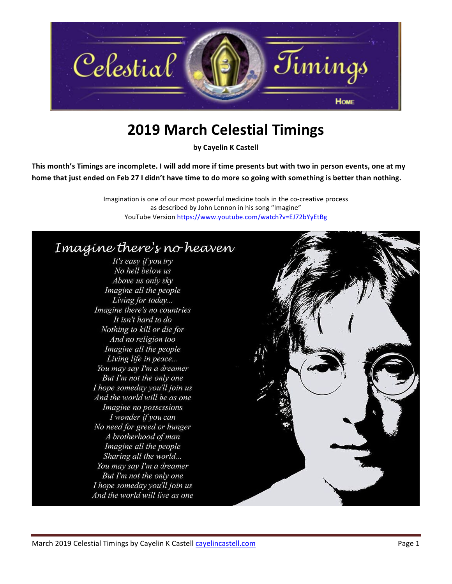

# **2019 March Celestial Timings**

**by Cayelin K Castell**

This month's Timings are incomplete. I will add more if time presents but with two in person events, one at my home that just ended on Feb 27 I didn't have time to do more so going with something is better than nothing.

> Imagination is one of our most powerful medicine tools in the co-creative process as described by John Lennon in his song "Imagine" YouTube Version https://www.youtube.com/watch?v=EJ72bYyEtBg

## Imagine there's no heaven

It's easy if you try No hell below us Above us only sky Imagine all the people Living for today... Imagine there's no countries It isn't hard to do Nothing to kill or die for And no religion too Imagine all the people Living life in peace... You may say I'm a dreamer But I'm not the only one I hope someday you'll join us And the world will be as one Imagine no possessions I wonder if you can No need for greed or hunger A brotherhood of man Imagine all the people Sharing all the world... You may say I'm a dreamer But I'm not the only one I hope someday you'll join us And the world will live as one

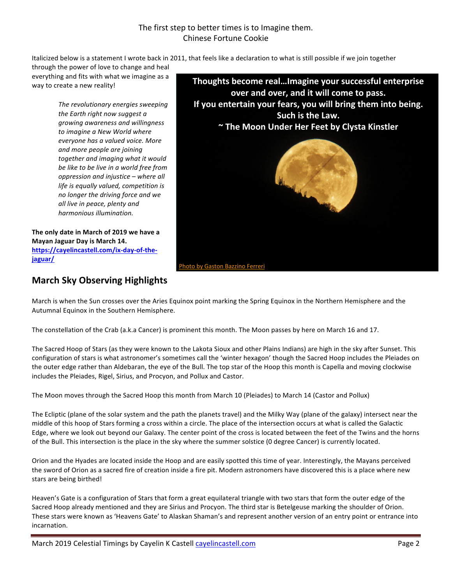#### The first step to better times is to Imagine them. Chinese Fortune Cookie

Italicized below is a statement I wrote back in 2011, that feels like a declaration to what is still possible if we join together through the power of love to change and heal

everything and fits with what we imagine as a way to create a new reality!

> The revolutionary energies sweeping *the Earth right now suggest a growing awareness and willingness*  to *imagine a New World where everyone has a valued voice. More and more people are joining* together and imaging what it would be like to be live in a world free from *oppression and injustice* – where all *life is equally valued, competition is no longer the driving force and we all live in peace, plenty and harmonious illumination.*

The only date in March of 2019 we have a **Mayan Jaguar Day is March 14. https://cayelincastell.com/ix-day-of-thejaguar/**



Photo by Gaston Bazzino Ferreri

## **March Sky Observing Highlights**

March is when the Sun crosses over the Aries Equinox point marking the Spring Equinox in the Northern Hemisphere and the Autumnal Equinox in the Southern Hemisphere.

The constellation of the Crab (a.k.a Cancer) is prominent this month. The Moon passes by here on March 16 and 17.

The Sacred Hoop of Stars (as they were known to the Lakota Sioux and other Plains Indians) are high in the sky after Sunset. This configuration of stars is what astronomer's sometimes call the 'winter hexagon' though the Sacred Hoop includes the Pleiades on the outer edge rather than Aldebaran, the eye of the Bull. The top star of the Hoop this month is Capella and moving clockwise includes the Pleiades, Rigel, Sirius, and Procyon, and Pollux and Castor.

The Moon moves through the Sacred Hoop this month from March 10 (Pleiades) to March 14 (Castor and Pollux)

The Ecliptic (plane of the solar system and the path the planets travel) and the Milky Way (plane of the galaxy) intersect near the middle of this hoop of Stars forming a cross within a circle. The place of the intersection occurs at what is called the Galactic Edge, where we look out beyond our Galaxy. The center point of the cross is located between the feet of the Twins and the horns of the Bull. This intersection is the place in the sky where the summer solstice (0 degree Cancer) is currently located.

Orion and the Hyades are located inside the Hoop and are easily spotted this time of year. Interestingly, the Mayans perceived the sword of Orion as a sacred fire of creation inside a fire pit. Modern astronomers have discovered this is a place where new stars are being birthed!

Heaven's Gate is a configuration of Stars that form a great equilateral triangle with two stars that form the outer edge of the Sacred Hoop already mentioned and they are Sirius and Procyon. The third star is Betelgeuse marking the shoulder of Orion. These stars were known as 'Heavens Gate' to Alaskan Shaman's and represent another version of an entry point or entrance into incarnation.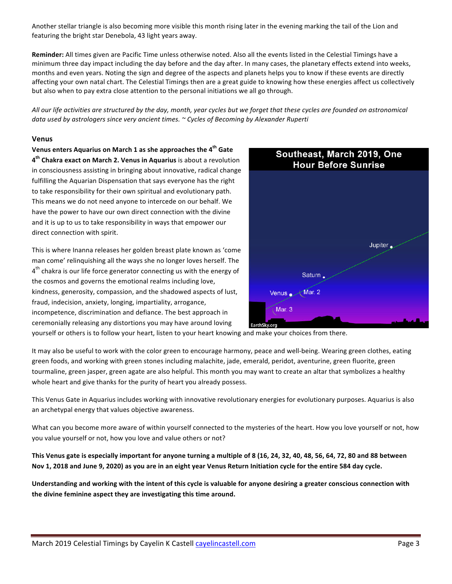Another stellar triangle is also becoming more visible this month rising later in the evening marking the tail of the Lion and featuring the bright star Denebola, 43 light years away.

**Reminder:** All times given are Pacific Time unless otherwise noted. Also all the events listed in the Celestial Timings have a minimum three day impact including the day before and the day after. In many cases, the planetary effects extend into weeks, months and even years. Noting the sign and degree of the aspects and planets helps you to know if these events are directly affecting your own natal chart. The Celestial Timings then are a great guide to knowing how these energies affect us collectively but also when to pay extra close attention to the personal initiations we all go through.

All our life activities are structured by the day, month, year cycles but we forget that these cycles are founded on astronomical data used by astrologers since very ancient times. ~ Cycles of Becoming by Alexander Ruperti

#### **Venus**

**Venus enters Aquarius on March 1 as she approaches the 4<sup>th</sup> Gate 4<sup>th</sup> Chakra exact on March 2. Venus in Aquarius** is about a revolution in consciousness assisting in bringing about innovative, radical change fulfilling the Aquarian Dispensation that says everyone has the right to take responsibility for their own spiritual and evolutionary path. This means we do not need anyone to intercede on our behalf. We have the power to have our own direct connection with the divine and it is up to us to take responsibility in ways that empower our direct connection with spirit.

This is where Inanna releases her golden breast plate known as 'come man come' relinquishing all the ways she no longer loves herself. The  $4<sup>th</sup>$  chakra is our life force generator connecting us with the energy of the cosmos and governs the emotional realms including love, kindness, generosity, compassion, and the shadowed aspects of lust, fraud, indecision, anxiety, longing, impartiality, arrogance, incompetence, discrimination and defiance. The best approach in ceremonially releasing any distortions you may have around loving



yourself or others is to follow your heart, listen to your heart knowing and make your choices from there.

It may also be useful to work with the color green to encourage harmony, peace and well-being. Wearing green clothes, eating green foods, and working with green stones including malachite, jade, emerald, peridot, aventurine, green fluorite, green tourmaline, green jasper, green agate are also helpful. This month you may want to create an altar that symbolizes a healthy whole heart and give thanks for the purity of heart you already possess.

This Venus Gate in Aquarius includes working with innovative revolutionary energies for evolutionary purposes. Aquarius is also an archetypal energy that values objective awareness.

What can you become more aware of within yourself connected to the mysteries of the heart. How you love yourself or not, how you value yourself or not, how you love and value others or not?

This Venus gate is especially important for anyone turning a multiple of 8 (16, 24, 32, 40, 48, 56, 64, 72, 80 and 88 between Nov 1, 2018 and June 9, 2020) as you are in an eight year Venus Return Initiation cycle for the entire 584 day cycle.

Understanding and working with the intent of this cycle is valuable for anyone desiring a greater conscious connection with the divine feminine aspect they are investigating this time around.